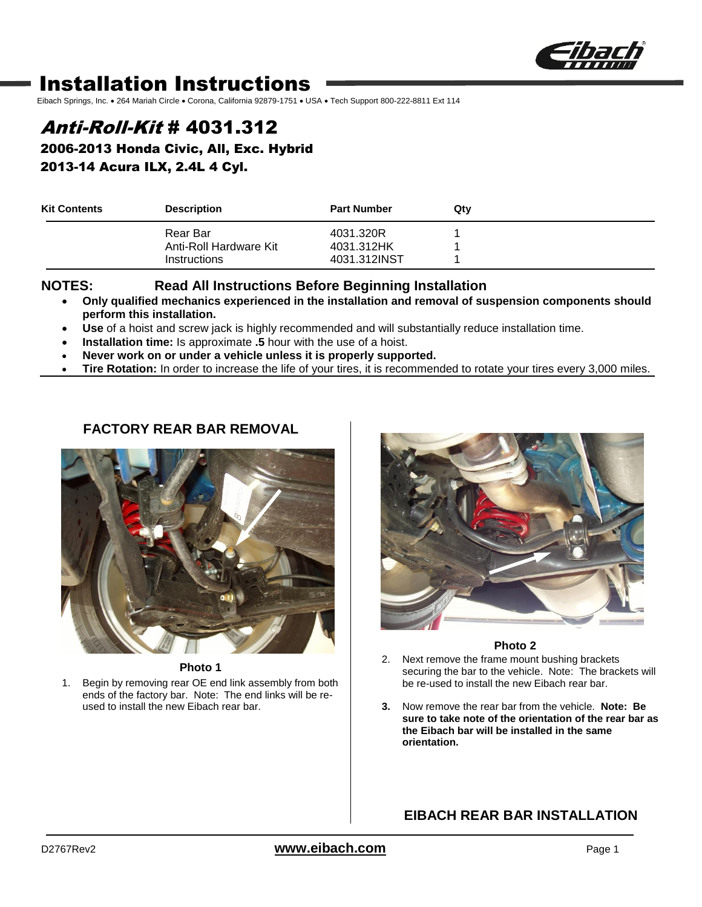

# Installation Instructions

Eibach Springs, Inc. . 264 Mariah Circle . Corona, California 92879-1751 . USA · Tech Support 800-222-8811 Ext 114

## Anti-Roll-Kit # 4031.312

2006-2013 Honda Civic, All, Exc. Hybrid 2013-14 Acura ILX, 2.4L 4 Cyl.

| <b>Kit Contents</b> | <b>Description</b>     | <b>Part Number</b> | Qtv |  |
|---------------------|------------------------|--------------------|-----|--|
|                     | Rear Bar               | 4031.320R          |     |  |
|                     | Anti-Roll Hardware Kit | 4031.312HK         |     |  |
|                     | <b>Instructions</b>    | 4031.312INST       |     |  |

#### **NOTES: Read All Instructions Before Beginning Installation**

- **Only qualified mechanics experienced in the installation and removal of suspension components should perform this installation.**
- **Use** of a hoist and screw jack is highly recommended and will substantially reduce installation time.
- **Installation time:** Is approximate **.5** hour with the use of a hoist.
- **Never work on or under a vehicle unless it is properly supported.**
- **Tire Rotation:** In order to increase the life of your tires, it is recommended to rotate your tires every 3,000 miles.

### **FACTORY REAR BAR REMOVAL**



**Photo 1**

1. Begin by removing rear OE end link assembly from both ends of the factory bar. Note: The end links will be reused to install the new Eibach rear bar.



#### **Photo 2**

- 2. Next remove the frame mount bushing brackets securing the bar to the vehicle. Note: The brackets will be re-used to install the new Eibach rear bar.
- **3.** Now remove the rear bar from the vehicle. **Note: Be sure to take note of the orientation of the rear bar as the Eibach bar will be installed in the same orientation.**

### **EIBACH REAR BAR INSTALLATION**